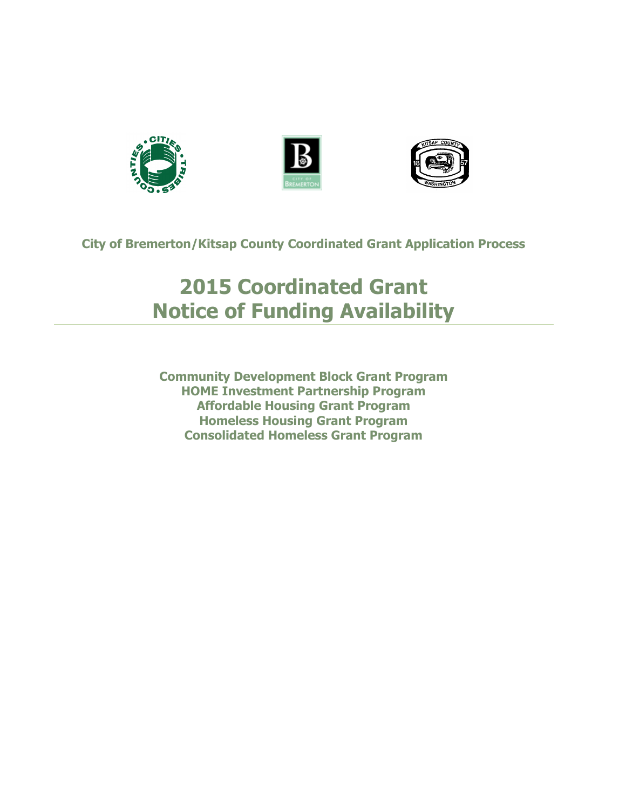





**City of Bremerton/Kitsap County Coordinated Grant Application Process**

# **2015 Coordinated Grant Notice of Funding Availability**

**Community Development Block Grant Program HOME Investment Partnership Program Affordable Housing Grant Program Homeless Housing Grant Program Consolidated Homeless Grant Program**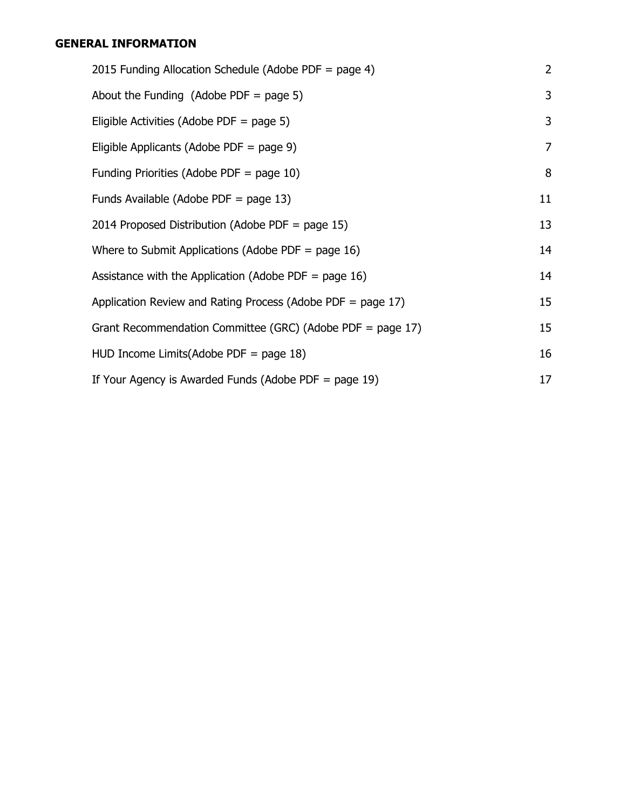# **[GENERAL INFORMATION](#page-2-0)**

| 2015 Funding Allocation Schedule (Adobe PDF = page 4)       | 2  |
|-------------------------------------------------------------|----|
| About the Funding (Adobe PDF = page 5)                      | 3  |
| Eligible Activities (Adobe PDF = page 5)                    | 3  |
| Eligible Applicants (Adobe PDF = page 9)                    | 7  |
| Funding Priorities (Adobe PDF = page 10)                    | 8  |
| Funds Available (Adobe PDF = page 13)                       | 11 |
| 2014 Proposed Distribution (Adobe PDF = page 15)            | 13 |
| Where to Submit Applications (Adobe PDF = page 16)          | 14 |
| Assistance with the Application (Adobe PDF = page 16)       | 14 |
| Application Review and Rating Process (Adobe PDF = page 17) | 15 |
| Grant Recommendation Committee (GRC) (Adobe PDF = page 17)  | 15 |
| HUD Income Limits (Adobe PDF = page 18)                     | 16 |
| If Your Agency is Awarded Funds (Adobe PDF = page 19)       | 17 |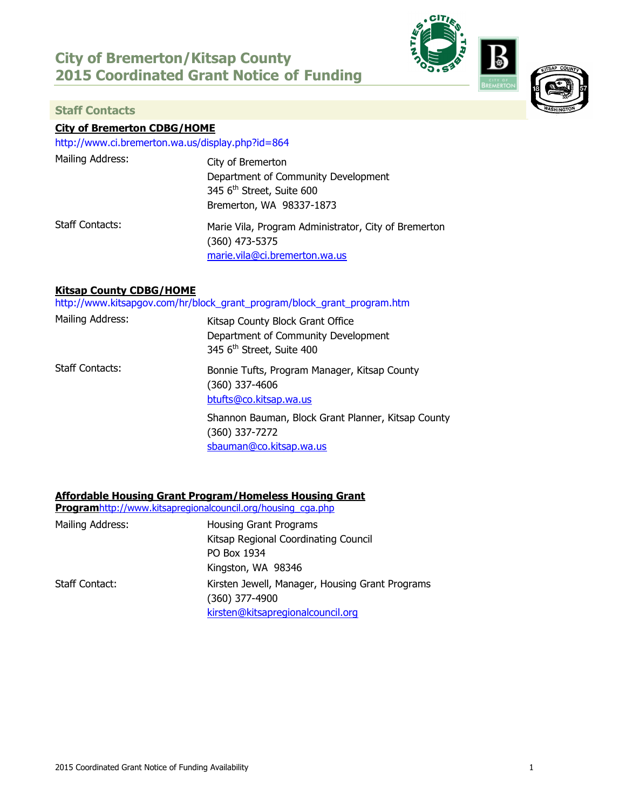# **City of Bremerton/Kitsap County 2015 Coordinated Grant Notice of Funding**



<span id="page-2-0"></span>

# **City of Bremerton CDBG/HOME**

<http://www.ci.bremerton.wa.us/display.php?id=864>

| Mailing Address:       | City of Bremerton<br>Department of Community Development<br>345 6 <sup>th</sup> Street, Suite 600<br>Bremerton, WA 98337-1873 |
|------------------------|-------------------------------------------------------------------------------------------------------------------------------|
| <b>Staff Contacts:</b> | Marie Vila, Program Administrator, City of Bremerton<br>(360) 473-5375<br>marie.vila@ci.bremerton.wa.us                       |

### **Kitsap County CDBG/HOME**

[http://www.kitsapgov.com/hr/block\\_grant\\_program/block\\_grant\\_program.htm](http://www.kitsapgov.com/hr/block_grant_program/block_grant_program.htm)

| Mailing Address: | Kitsap County Block Grant Office<br>Department of Community Development<br>345 6 <sup>th</sup> Street, Suite 400 |
|------------------|------------------------------------------------------------------------------------------------------------------|
| Staff Contacts:  | Bonnie Tufts, Program Manager, Kitsap County<br>(360) 337-4606<br>btufts@co.kitsap.wa.us                         |
|                  | Shannon Bauman, Block Grant Planner, Kitsap County<br>(360) 337-7272<br>sbauman@co.kitsap.wa.us                  |

# **Affordable Housing Grant Program/Homeless Housing Grant**

|                       | <b>Programhttp://www.kitsapregionalcouncil.org/housing_cga.php</b> |
|-----------------------|--------------------------------------------------------------------|
| Mailing Address:      | Housing Grant Programs                                             |
|                       | Kitsap Regional Coordinating Council                               |
|                       | PO Box 1934                                                        |
|                       | Kingston, WA 98346                                                 |
| <b>Staff Contact:</b> | Kirsten Jewell, Manager, Housing Grant Programs                    |
|                       | $(360)$ 377-4900                                                   |
|                       | kirsten@kitsapregionalcouncil.org                                  |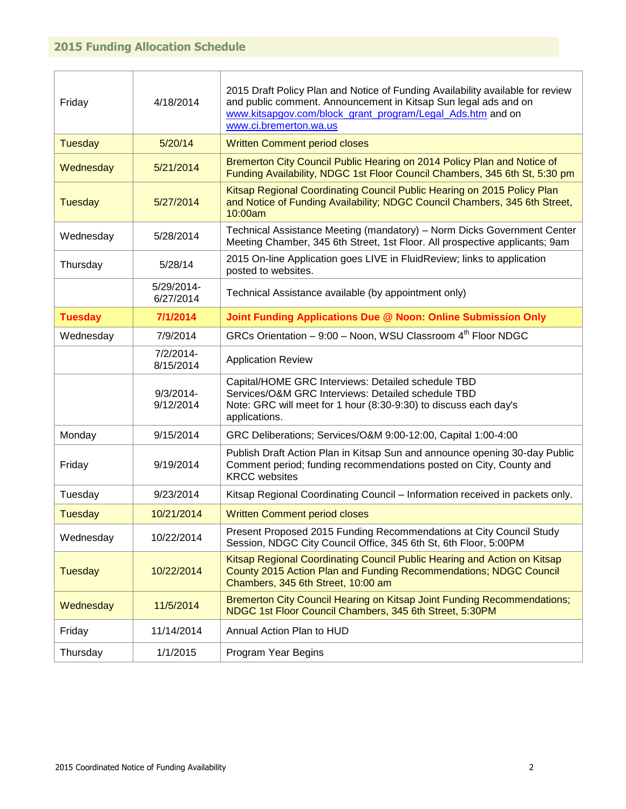<span id="page-3-0"></span>

| Friday         | 4/18/2014                 | 2015 Draft Policy Plan and Notice of Funding Availability available for review<br>and public comment. Announcement in Kitsap Sun legal ads and on<br>www.kitsapgov.com/block_grant_program/Legal_Ads.htm and on<br>www.ci.bremerton.wa.us |
|----------------|---------------------------|-------------------------------------------------------------------------------------------------------------------------------------------------------------------------------------------------------------------------------------------|
| <b>Tuesday</b> | 5/20/14                   | <b>Written Comment period closes</b>                                                                                                                                                                                                      |
| Wednesday      | 5/21/2014                 | Bremerton City Council Public Hearing on 2014 Policy Plan and Notice of<br>Funding Availability, NDGC 1st Floor Council Chambers, 345 6th St, 5:30 pm                                                                                     |
| <b>Tuesday</b> | 5/27/2014                 | Kitsap Regional Coordinating Council Public Hearing on 2015 Policy Plan<br>and Notice of Funding Availability; NDGC Council Chambers, 345 6th Street,<br>10:00am                                                                          |
| Wednesday      | 5/28/2014                 | Technical Assistance Meeting (mandatory) – Norm Dicks Government Center<br>Meeting Chamber, 345 6th Street, 1st Floor. All prospective applicants; 9am                                                                                    |
| Thursday       | 5/28/14                   | 2015 On-line Application goes LIVE in FluidReview; links to application<br>posted to websites.                                                                                                                                            |
|                | 5/29/2014-<br>6/27/2014   | Technical Assistance available (by appointment only)                                                                                                                                                                                      |
| <b>Tuesday</b> | 7/1/2014                  | Joint Funding Applications Due @ Noon: Online Submission Only                                                                                                                                                                             |
| Wednesday      | 7/9/2014                  | GRCs Orientation - 9:00 - Noon, WSU Classroom 4 <sup>th</sup> Floor NDGC                                                                                                                                                                  |
|                | 7/2/2014-<br>8/15/2014    | <b>Application Review</b>                                                                                                                                                                                                                 |
|                | $9/3/2014$ -<br>9/12/2014 | Capital/HOME GRC Interviews: Detailed schedule TBD<br>Services/O&M GRC Interviews: Detailed schedule TBD<br>Note: GRC will meet for 1 hour (8:30-9:30) to discuss each day's<br>applications.                                             |
| Monday         | 9/15/2014                 | GRC Deliberations; Services/O&M 9:00-12:00, Capital 1:00-4:00                                                                                                                                                                             |
| Friday         | 9/19/2014                 | Publish Draft Action Plan in Kitsap Sun and announce opening 30-day Public<br>Comment period; funding recommendations posted on City, County and<br><b>KRCC</b> websites                                                                  |
| Tuesday        | 9/23/2014                 | Kitsap Regional Coordinating Council - Information received in packets only.                                                                                                                                                              |
| <b>Tuesday</b> | 10/21/2014                | <b>Written Comment period closes</b>                                                                                                                                                                                                      |
| Wednesday      | 10/22/2014                | Present Proposed 2015 Funding Recommendations at City Council Study<br>Session, NDGC City Council Office, 345 6th St, 6th Floor, 5:00PM                                                                                                   |
| Tuesday        | 10/22/2014                | Kitsap Regional Coordinating Council Public Hearing and Action on Kitsap<br>County 2015 Action Plan and Funding Recommendations; NDGC Council<br>Chambers, 345 6th Street, 10:00 am                                                       |
| Wednesday      | 11/5/2014                 | Bremerton City Council Hearing on Kitsap Joint Funding Recommendations;<br>NDGC 1st Floor Council Chambers, 345 6th Street, 5:30PM                                                                                                        |
| Friday         | 11/14/2014                | Annual Action Plan to HUD                                                                                                                                                                                                                 |
| Thursday       | 1/1/2015                  | Program Year Begins                                                                                                                                                                                                                       |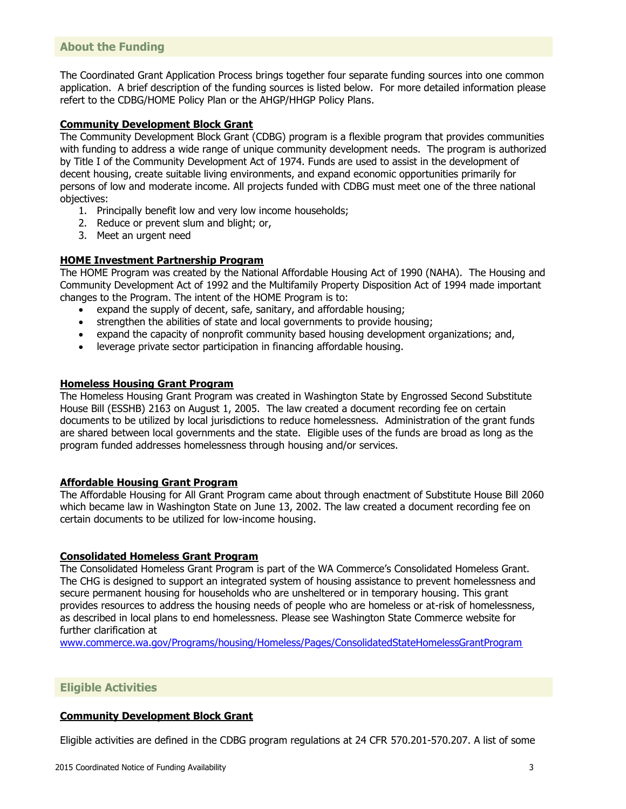#### <span id="page-4-0"></span>**About the Funding**

The Coordinated Grant Application Process brings together four separate funding sources into one common application. A brief description of the funding sources is listed below. For more detailed information please refert to the CDBG/HOME Policy Plan or the AHGP/HHGP Policy Plans.

#### **Community Development Block Grant**

The Community Development Block Grant (CDBG) program is a flexible program that provides communities with funding to address a wide range of unique community development needs. The program is authorized by Title I of the Community Development Act of 1974. Funds are used to assist in the development of decent housing, create suitable living environments, and expand economic opportunities primarily for persons of low and moderate income. All projects funded with CDBG must meet one of the three national objectives:

- 1. Principally benefit low and very low income households;
- 2. Reduce or prevent slum and blight; or,
- 3. Meet an urgent need

#### **HOME Investment Partnership Program**

The HOME Program was created by the National Affordable Housing Act of 1990 (NAHA). The Housing and Community Development Act of 1992 and the Multifamily Property Disposition Act of 1994 made important changes to the Program. The intent of the HOME Program is to:

- expand the supply of decent, safe, sanitary, and affordable housing;
- strengthen the abilities of state and local governments to provide housing;
- expand the capacity of nonprofit community based housing development organizations; and,
- leverage private sector participation in financing affordable housing.

#### **Homeless Housing Grant Program**

The Homeless Housing Grant Program was created in Washington State by Engrossed Second Substitute House Bill (ESSHB) 2163 on August 1, 2005. The law created a document recording fee on certain documents to be utilized by local jurisdictions to reduce homelessness. Administration of the grant funds are shared between local governments and the state. Eligible uses of the funds are broad as long as the program funded addresses homelessness through housing and/or services.

#### **Affordable Housing Grant Program**

The Affordable Housing for All Grant Program came about through enactment of Substitute House Bill 2060 which became law in Washington State on June 13, 2002. The law created a document recording fee on certain documents to be utilized for low-income housing.

#### **Consolidated Homeless Grant Program**

The Consolidated Homeless Grant Program is part of the WA Commerce's Consolidated Homeless Grant. The CHG is designed to support an integrated system of housing assistance to prevent homelessness and secure permanent housing for households who are unsheltered or in temporary housing. This grant provides resources to address the housing needs of people who are homeless or at-risk of homelessness, as described in local plans to end homelessness. Please see Washington State Commerce website for further clarification at

[www.commerce.wa.gov/Programs/housing/Homeless/Pages/ConsolidatedStateHomelessGrantProgram](http://www.commerce.wa.gov/Programs/housing/Homeless/Pages/ConsolidatedStateHomelessGrantProgram)

#### <span id="page-4-1"></span>**Eligible Activities**

#### **Community Development Block Grant**

Eligible activities are defined in the CDBG program regulations at 24 CFR 570.201-570.207. A list of some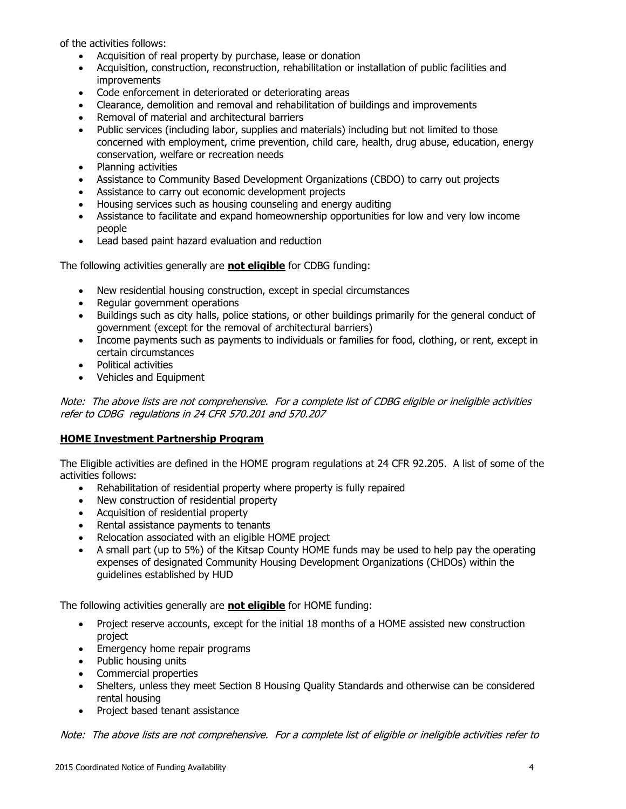of the activities follows:

- Acquisition of real property by purchase, lease or donation
- Acquisition, construction, reconstruction, rehabilitation or installation of public facilities and improvements
- Code enforcement in deteriorated or deteriorating areas
- Clearance, demolition and removal and rehabilitation of buildings and improvements
- Removal of material and architectural barriers
- Public services (including labor, supplies and materials) including but not limited to those concerned with employment, crime prevention, child care, health, drug abuse, education, energy conservation, welfare or recreation needs
- Planning activities
- Assistance to Community Based Development Organizations (CBDO) to carry out projects
- Assistance to carry out economic development projects
- Housing services such as housing counseling and energy auditing
- Assistance to facilitate and expand homeownership opportunities for low and very low income people
- Lead based paint hazard evaluation and reduction

The following activities generally are **not eligible** for CDBG funding:

- New residential housing construction, except in special circumstances
- Regular government operations
- Buildings such as city halls, police stations, or other buildings primarily for the general conduct of government (except for the removal of architectural barriers)
- Income payments such as payments to individuals or families for food, clothing, or rent, except in certain circumstances
- Political activities
- Vehicles and Equipment

Note: The above lists are not comprehensive. For a complete list of CDBG eligible or ineligible activities refer to CDBG regulations in 24 CFR 570.201 and 570.207

# **HOME Investment Partnership Program**

The Eligible activities are defined in the HOME program regulations at 24 CFR 92.205. A list of some of the activities follows:

- Rehabilitation of residential property where property is fully repaired
- New construction of residential property
- Acquisition of residential property
- Rental assistance payments to tenants
- Relocation associated with an eligible HOME project
- A small part (up to 5%) of the Kitsap County HOME funds may be used to help pay the operating expenses of designated Community Housing Development Organizations (CHDOs) within the guidelines established by HUD

The following activities generally are **not eligible** for HOME funding:

- Project reserve accounts, except for the initial 18 months of a HOME assisted new construction project
- Emergency home repair programs
- Public housing units
- Commercial properties
- Shelters, unless they meet Section 8 Housing Quality Standards and otherwise can be considered rental housing
- Project based tenant assistance

Note: The above lists are not comprehensive. For a complete list of eligible or ineligible activities refer to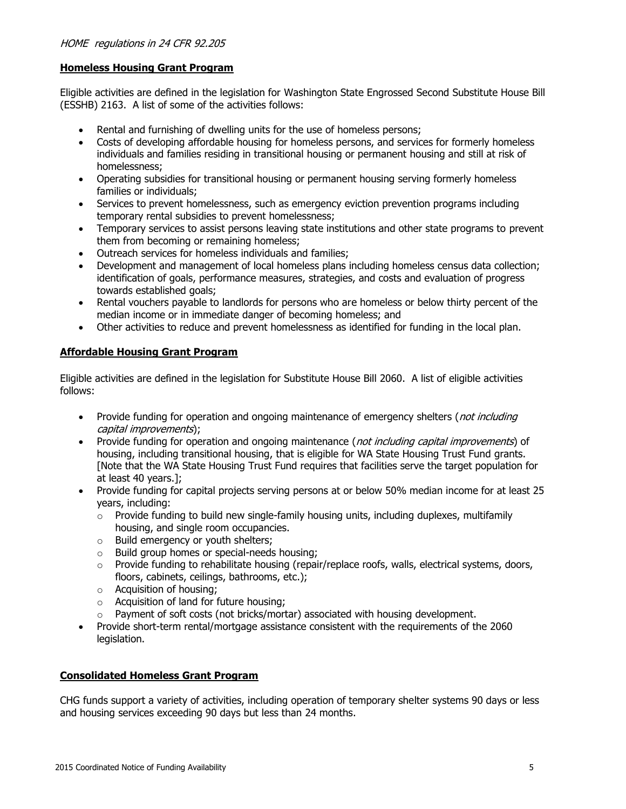### **Homeless Housing Grant Program**

Eligible activities are defined in the legislation for Washington State Engrossed Second Substitute House Bill (ESSHB) 2163. A list of some of the activities follows:

- Rental and furnishing of dwelling units for the use of homeless persons;
- Costs of developing affordable housing for homeless persons, and services for formerly homeless individuals and families residing in transitional housing or permanent housing and still at risk of homelessness;
- Operating subsidies for transitional housing or permanent housing serving formerly homeless families or individuals;
- Services to prevent homelessness, such as emergency eviction prevention programs including temporary rental subsidies to prevent homelessness;
- Temporary services to assist persons leaving state institutions and other state programs to prevent them from becoming or remaining homeless;
- Outreach services for homeless individuals and families;
- Development and management of local homeless plans including homeless census data collection; identification of goals, performance measures, strategies, and costs and evaluation of progress towards established goals;
- Rental vouchers payable to landlords for persons who are homeless or below thirty percent of the median income or in immediate danger of becoming homeless; and
- Other activities to reduce and prevent homelessness as identified for funding in the local plan.

# **Affordable Housing Grant Program**

Eligible activities are defined in the legislation for Substitute House Bill 2060. A list of eligible activities follows:

- Provide funding for operation and ongoing maintenance of emergency shelters (*not including* capital improvements);
- Provide funding for operation and ongoing maintenance (*not including capital improvements*) of housing, including transitional housing, that is eligible for WA State Housing Trust Fund grants. [Note that the WA State Housing Trust Fund requires that facilities serve the target population for at least 40 years.];
- Provide funding for capital projects serving persons at or below 50% median income for at least 25 years, including:
	- $\circ$  Provide funding to build new single-family housing units, including duplexes, multifamily housing, and single room occupancies.
	- o Build emergency or youth shelters;
	- o Build group homes or special-needs housing;
	- $\circ$  Provide funding to rehabilitate housing (repair/replace roofs, walls, electrical systems, doors, floors, cabinets, ceilings, bathrooms, etc.);
	- o Acquisition of housing;
	- o Acquisition of land for future housing;
	- o Payment of soft costs (not bricks/mortar) associated with housing development.
- Provide short-term rental/mortgage assistance consistent with the requirements of the 2060 legislation.

#### **Consolidated Homeless Grant Program**

CHG funds support a variety of activities, including operation of temporary shelter systems 90 days or less and housing services exceeding 90 days but less than 24 months.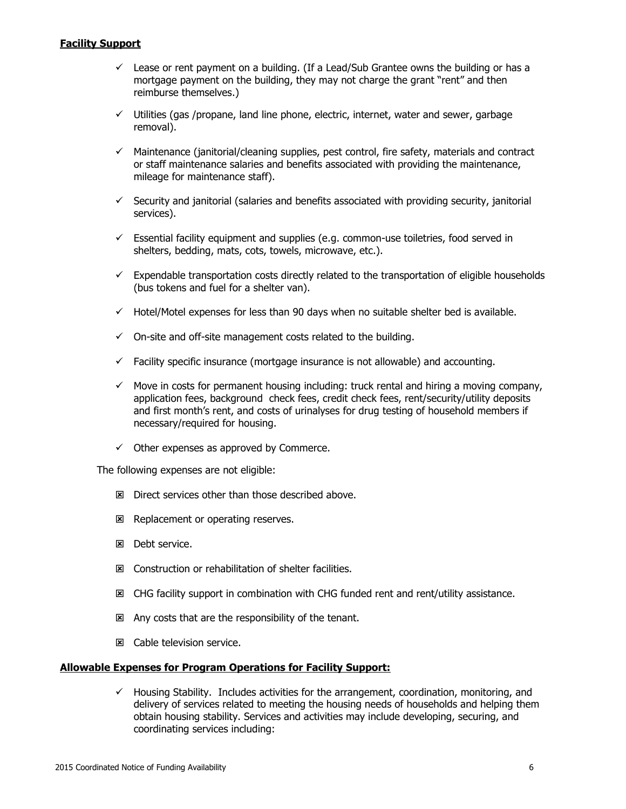#### **Facility Support**

- $\checkmark$  Lease or rent payment on a building. (If a Lead/Sub Grantee owns the building or has a mortgage payment on the building, they may not charge the grant "rent" and then reimburse themselves.)
- $\checkmark$  Utilities (gas /propane, land line phone, electric, internet, water and sewer, garbage removal).
- $\checkmark$  Maintenance (janitorial/cleaning supplies, pest control, fire safety, materials and contract or staff maintenance salaries and benefits associated with providing the maintenance, mileage for maintenance staff).
- $\checkmark$  Security and janitorial (salaries and benefits associated with providing security, janitorial services).
- $\checkmark$  Essential facility equipment and supplies (e.g. common-use toiletries, food served in shelters, bedding, mats, cots, towels, microwave, etc.).
- $\checkmark$  Expendable transportation costs directly related to the transportation of eligible households (bus tokens and fuel for a shelter van).
- $\checkmark$  Hotel/Motel expenses for less than 90 days when no suitable shelter bed is available.
- $\checkmark$  On-site and off-site management costs related to the building.
- $\checkmark$  Facility specific insurance (mortgage insurance is not allowable) and accounting.
- $\checkmark$  Move in costs for permanent housing including: truck rental and hiring a moving company, application fees, background check fees, credit check fees, rent/security/utility deposits and first month's rent, and costs of urinalyses for drug testing of household members if necessary/required for housing.
- $\checkmark$  Other expenses as approved by Commerce.

The following expenses are not eligible:

- $\boxtimes$  Direct services other than those described above.
- Replacement or operating reserves.
- **図** Debt service.
- Construction or rehabilitation of shelter facilities.
- **EX** CHG facility support in combination with CHG funded rent and rent/utility assistance.
- $\boxtimes$  Any costs that are the responsibility of the tenant.
- **E.** Cable television service.

#### **Allowable Expenses for Program Operations for Facility Support:**

 $\checkmark$  Housing Stability. Includes activities for the arrangement, coordination, monitoring, and delivery of services related to meeting the housing needs of households and helping them obtain housing stability. Services and activities may include developing, securing, and coordinating services including: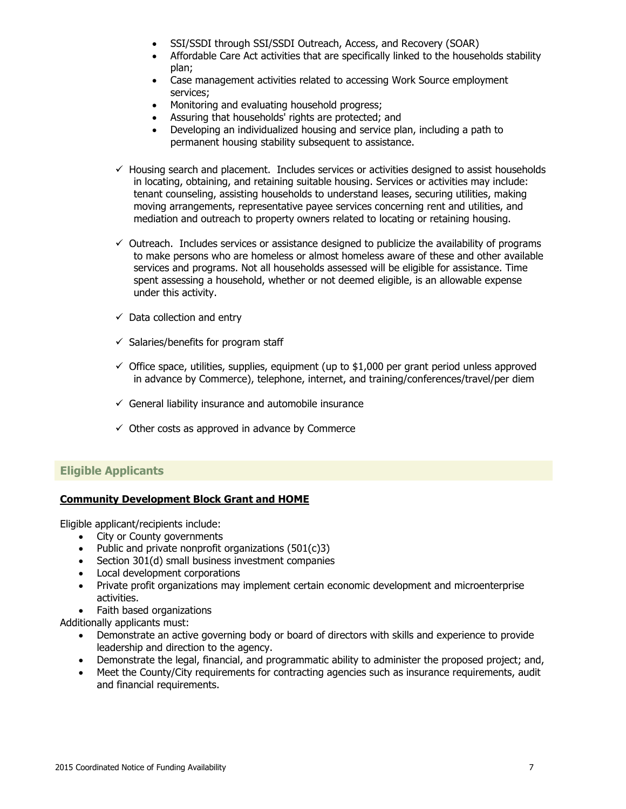- SSI/SSDI through [SSI/SSDI Outreach, Access, and Recovery \(SOAR\)](http://www.prainc.com/soar/about/default.asp)
- [Affordable Care Act](http://www.wahbexchange.org/info-you/individuals-and-families/) activities that are specifically linked to the households stability plan;
- Case management activities related to accessing Work Source employment services;
- Monitoring and evaluating household progress:
- Assuring that households' rights are protected; and
- Developing an individualized housing and service plan, including a path to permanent housing stability subsequent to assistance.
- $\checkmark$  Housing search and placement. Includes services or activities designed to assist households in locating, obtaining, and retaining suitable housing. Services or activities may include: tenant counseling, assisting households to understand leases, securing utilities, making moving arrangements, representative payee services concerning rent and utilities, and mediation and outreach to property owners related to locating or retaining housing.
- $\checkmark$  Outreach. Includes services or assistance designed to publicize the availability of programs to make persons who are homeless or almost homeless aware of these and other available services and programs. Not all households assessed will be eligible for assistance. Time spent assessing a household, whether or not deemed eligible, is an allowable expense under this activity.
- $\checkmark$  Data collection and entry
- $\checkmark$  Salaries/benefits for program staff
- $\checkmark$  Office space, utilities, supplies, equipment (up to \$1,000 per grant period unless approved in advance by Commerce), telephone, internet, and training/conferences/travel/per diem
- $\checkmark$  General liability insurance and automobile insurance
- $\checkmark$  Other costs as approved in advance by Commerce

#### <span id="page-8-0"></span>**Eligible Applicants**

#### **Community Development Block Grant and HOME**

Eligible applicant/recipients include:

- City or County governments
- Public and private nonprofit organizations  $(501(c)3)$
- Section 301(d) small business investment companies
- Local development corporations
- Private profit organizations may implement certain economic development and microenterprise activities.
- Faith based organizations

Additionally applicants must:

- Demonstrate an active governing body or board of directors with skills and experience to provide leadership and direction to the agency.
- Demonstrate the legal, financial, and programmatic ability to administer the proposed project; and,
- Meet the County/City requirements for contracting agencies such as insurance requirements, audit and financial requirements.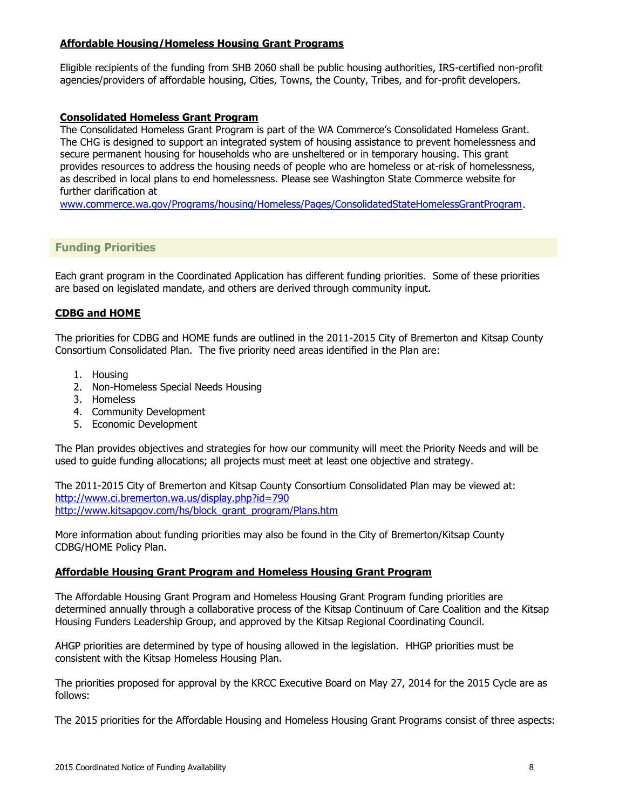#### **Affordable Housing/Homeless Housing Grant Programs**

Eligible recipients of the funding from SHB 2060 shall be public housing authorities, IRS-certified non-profit agencies/providers of affordable housing, Cities, Towns, the County, Tribes, and for-profit developers.

#### **Consolidated Homeless Grant Program**

The Consolidated Homeless Grant Program is part of the WA Commerce's Consolidated Homeless Grant. The CHG is designed to support an integrated system of housing assistance to prevent homelessness and secure permanent housing for households who are unsheltered or in temporary housing. This grant provides resources to address the housing needs of people who are homeless or at-risk of homelessness, as described in local plans to end homelessness. Please see Washington State Commerce website for further clarification at

[www.commerce.wa.gov/Programs/housing/Homeless/Pages/ConsolidatedStateHomelessGrantProgram](http://www.commerce.wa.gov/Programs/housing/Homeless/Pages/ConsolidatedStateHomelessGrantProgram).

# <span id="page-9-0"></span>**Funding Priorities**

Each grant program in the Coordinated Application has different funding priorities. Some of these priorities are based on legislated mandate, and others are derived through community input.

#### **CDBG and HOME**

The priorities for CDBG and HOME funds are outlined in the 2011-2015 City of Bremerton and Kitsap County Consortium Consolidated Plan. The five priority need areas identified in the Plan are:

- 1. Housing
- 2. Non-Homeless Special Needs Housing
- 3. Homeless
- 4. Community Development
- 5. Economic Development

The Plan provides objectives and strategies for how our community will meet the Priority Needs and will be used to guide funding allocations; all projects must meet at least one objective and strategy.

The 2011-2015 City of Bremerton and Kitsap County Consortium Consolidated Plan may be viewed at: <http://www.ci.bremerton.wa.us/display.php?id=790> [http://www.kitsapgov.com/hs/block\\_grant\\_program/Plans.htm](http://www.kitsapgov.com/hs/block_grant_program/Plans.htm)

More information about funding priorities may also be found in the City of Bremerton/Kitsap County CDBG/HOME Policy Plan.

#### **Affordable Housing Grant Program and Homeless Housing Grant Program**

The Affordable Housing Grant Program and Homeless Housing Grant Program funding priorities are determined annually through a collaborative process of the Kitsap Continuum of Care Coalition and the Kitsap Housing Funders Leadership Group, and approved by the Kitsap Regional Coordinating Council.

AHGP priorities are determined by type of housing allowed in the legislation. HHGP priorities must be consistent with the Kitsap Homeless Housing Plan.

The priorities proposed for approval by the KRCC Executive Board on May 27, 2014 for the 2015 Cycle are as follows:

The 2015 priorities for the Affordable Housing and Homeless Housing Grant Programs consist of three aspects: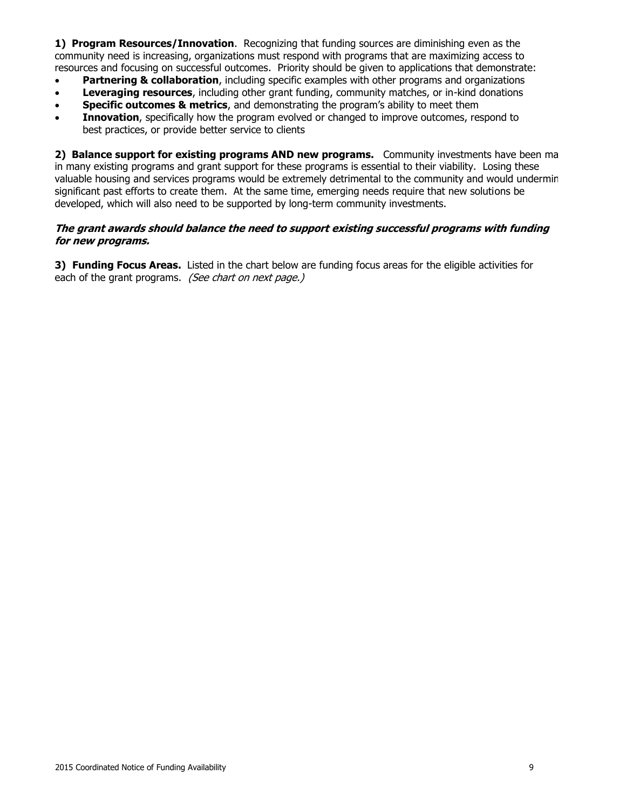1) **1) Program Resources/Innovation**. Recognizing that funding sources are diminishing even as the community need is increasing, organizations must respond with programs that are maximizing access to resources and focusing on successful outcomes. Priority should be given to applications that demonstrate:

- **Partnering & collaboration**, including specific examples with other programs and organizations
- **Leveraging resources**, including other grant funding, community matches, or in-kind donations
- **Specific outcomes & metrics**, and demonstrating the program's ability to meet them
- **Innovation**, specifically how the program evolved or changed to improve outcomes, respond to best practices, or provide better service to clients

2) **Balance support for existing programs AND new programs.** Community investments have been ma in many existing programs and grant support for these programs is essential to their viability. Losing these valuable housing and services programs would be extremely detrimental to the community and would undermin significant past efforts to create them. At the same time, emerging needs require that new solutions be developed, which will also need to be supported by long-term community investments.

#### **The grant awards should balance the need to support existing successful programs with funding for new programs.**

**3) Funding Focus Areas.** Listed in the chart below are funding focus areas for the eligible activities for each of the grant programs. (See chart on next page.)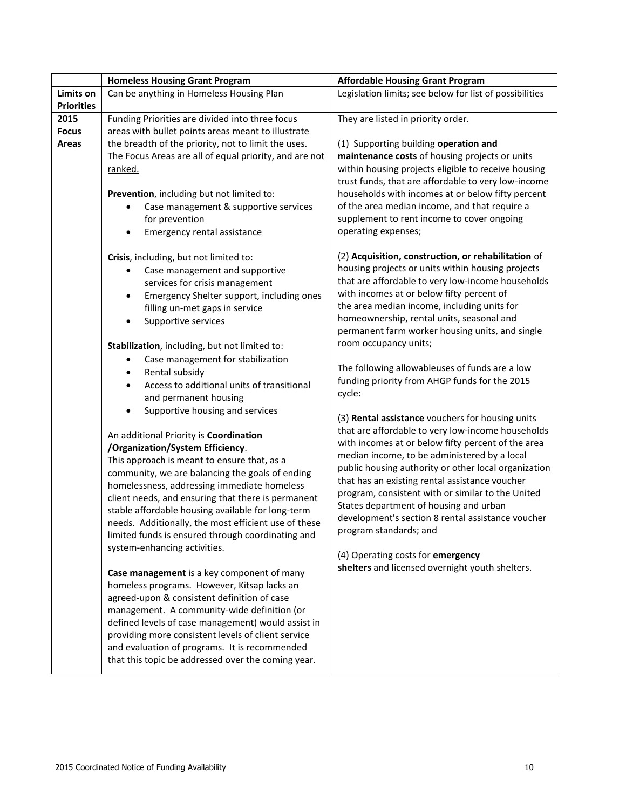|                                        | <b>Homeless Housing Grant Program</b>                                                                         | <b>Affordable Housing Grant Program</b>                                                  |
|----------------------------------------|---------------------------------------------------------------------------------------------------------------|------------------------------------------------------------------------------------------|
| Limits on                              | Can be anything in Homeless Housing Plan                                                                      | Legislation limits; see below for list of possibilities                                  |
| <b>Priorities</b>                      |                                                                                                               |                                                                                          |
| 2015                                   | Funding Priorities are divided into three focus                                                               | They are listed in priority order.                                                       |
| <b>Focus</b>                           | areas with bullet points areas meant to illustrate                                                            |                                                                                          |
| Areas                                  | the breadth of the priority, not to limit the uses.<br>The Focus Areas are all of equal priority, and are not | (1) Supporting building operation and<br>maintenance costs of housing projects or units  |
|                                        | <u>ranked.</u>                                                                                                | within housing projects eligible to receive housing                                      |
|                                        |                                                                                                               | trust funds, that are affordable to very low-income                                      |
|                                        | Prevention, including but not limited to:                                                                     | households with incomes at or below fifty percent                                        |
|                                        | Case management & supportive services                                                                         | of the area median income, and that require a                                            |
|                                        | for prevention                                                                                                | supplement to rent income to cover ongoing                                               |
|                                        | Emergency rental assistance                                                                                   | operating expenses;                                                                      |
|                                        | Crisis, including, but not limited to:                                                                        | (2) Acquisition, construction, or rehabilitation of                                      |
|                                        | Case management and supportive                                                                                | housing projects or units within housing projects                                        |
|                                        | services for crisis management                                                                                | that are affordable to very low-income households                                        |
|                                        | Emergency Shelter support, including ones<br>$\bullet$                                                        | with incomes at or below fifty percent of<br>the area median income, including units for |
|                                        | filling un-met gaps in service<br>Supportive services<br>$\bullet$                                            | homeownership, rental units, seasonal and                                                |
|                                        |                                                                                                               | permanent farm worker housing units, and single                                          |
|                                        | Stabilization, including, but not limited to:                                                                 | room occupancy units;                                                                    |
|                                        | Case management for stabilization<br>٠                                                                        |                                                                                          |
|                                        | Rental subsidy<br>$\bullet$                                                                                   | The following allowableuses of funds are a low                                           |
|                                        | Access to additional units of transitional<br>$\bullet$                                                       | funding priority from AHGP funds for the 2015                                            |
|                                        | and permanent housing                                                                                         | cycle:                                                                                   |
|                                        | Supportive housing and services<br>$\bullet$                                                                  | (3) Rental assistance vouchers for housing units                                         |
|                                        |                                                                                                               | that are affordable to very low-income households                                        |
| An additional Priority is Coordination |                                                                                                               | with incomes at or below fifty percent of the area                                       |
|                                        | /Organization/System Efficiency.<br>This approach is meant to ensure that, as a                               | median income, to be administered by a local                                             |
|                                        | community, we are balancing the goals of ending                                                               | public housing authority or other local organization                                     |
|                                        | homelessness, addressing immediate homeless                                                                   | that has an existing rental assistance voucher                                           |
|                                        | client needs, and ensuring that there is permanent                                                            | program, consistent with or similar to the United                                        |
|                                        | stable affordable housing available for long-term                                                             | States department of housing and urban                                                   |
|                                        | needs. Additionally, the most efficient use of these                                                          | development's section 8 rental assistance voucher                                        |
|                                        | limited funds is ensured through coordinating and                                                             | program standards; and                                                                   |
|                                        | system-enhancing activities.                                                                                  | (4) Operating costs for emergency                                                        |
|                                        |                                                                                                               | shelters and licensed overnight youth shelters.                                          |
|                                        | Case management is a key component of many<br>homeless programs. However, Kitsap lacks an                     |                                                                                          |
|                                        | agreed-upon & consistent definition of case                                                                   |                                                                                          |
|                                        | management. A community-wide definition (or                                                                   |                                                                                          |
|                                        | defined levels of case management) would assist in                                                            |                                                                                          |
|                                        | providing more consistent levels of client service                                                            |                                                                                          |
|                                        | and evaluation of programs. It is recommended                                                                 |                                                                                          |
|                                        | that this topic be addressed over the coming year.                                                            |                                                                                          |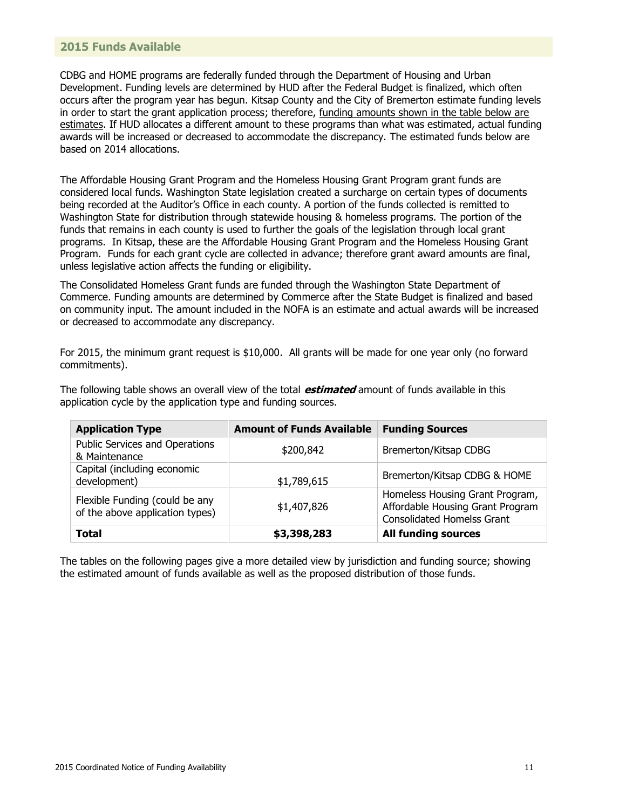#### <span id="page-12-0"></span>**2015 Funds Available**

CDBG and HOME programs are federally funded through the Department of Housing and Urban Development. Funding levels are determined by HUD after the Federal Budget is finalized, which often occurs after the program year has begun. Kitsap County and the City of Bremerton estimate funding levels in order to start the grant application process; therefore, funding amounts shown in the table below are estimates. If HUD allocates a different amount to these programs than what was estimated, actual funding awards will be increased or decreased to accommodate the discrepancy. The estimated funds below are based on 2014 allocations.

The Affordable Housing Grant Program and the Homeless Housing Grant Program grant funds are considered local funds. Washington State legislation created a surcharge on certain types of documents being recorded at the Auditor's Office in each county. A portion of the funds collected is remitted to Washington State for distribution through statewide housing & homeless programs. The portion of the funds that remains in each county is used to further the goals of the legislation through local grant programs. In Kitsap, these are the Affordable Housing Grant Program and the Homeless Housing Grant Program. Funds for each grant cycle are collected in advance; therefore grant award amounts are final, unless legislative action affects the funding or eligibility.

The Consolidated Homeless Grant funds are funded through the Washington State Department of Commerce. Funding amounts are determined by Commerce after the State Budget is finalized and based on community input. The amount included in the NOFA is an estimate and actual awards will be increased or decreased to accommodate any discrepancy.

For 2015, the minimum grant request is \$10,000. All grants will be made for one year only (no forward commitments).

The following table shows an overall view of the total **estimated** amount of funds available in this application cycle by the application type and funding sources.

| <b>Application Type</b>                                           | <b>Amount of Funds Available</b> | <b>Funding Sources</b>                                                                                   |
|-------------------------------------------------------------------|----------------------------------|----------------------------------------------------------------------------------------------------------|
| Public Services and Operations<br>& Maintenance                   | \$200,842                        | Bremerton/Kitsap CDBG                                                                                    |
| Capital (including economic<br>development)                       | \$1,789,615                      | Bremerton/Kitsap CDBG & HOME                                                                             |
| Flexible Funding (could be any<br>of the above application types) | \$1,407,826                      | Homeless Housing Grant Program,<br>Affordable Housing Grant Program<br><b>Consolidated Homelss Grant</b> |
| <b>Total</b>                                                      | \$3,398,283                      | <b>All funding sources</b>                                                                               |

The tables on the following pages give a more detailed view by jurisdiction and funding source; showing the estimated amount of funds available as well as the proposed distribution of those funds.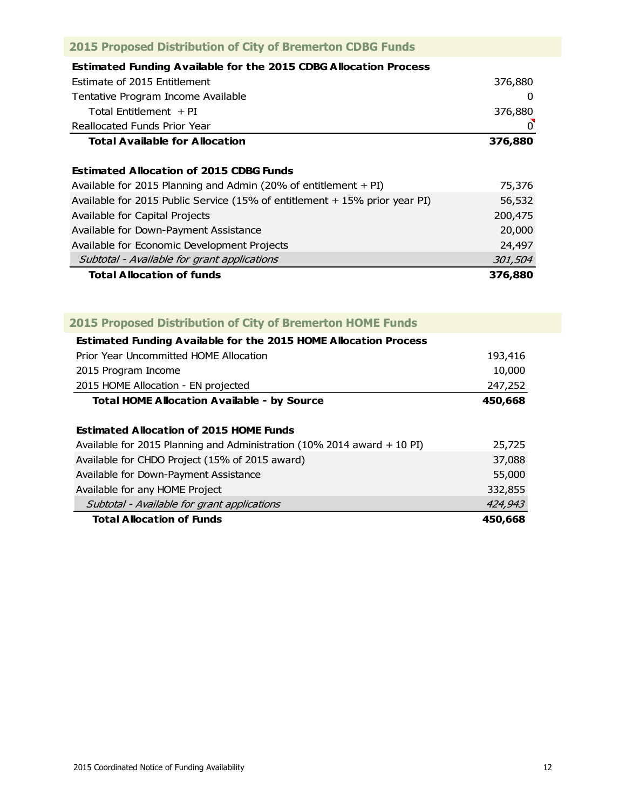<span id="page-13-0"></span>

| <b>2015 Proposed Distribution of City of Bremerton CDBG Funds</b>          |          |
|----------------------------------------------------------------------------|----------|
| <b>Estimated Funding Available for the 2015 CDBG Allocation Process</b>    |          |
| Estimate of 2015 Entitlement                                               | 376,880  |
| Tentative Program Income Available                                         | $\Omega$ |
| Total Fntitlement $+$ PI                                                   | 376,880  |
| Reallocated Funds Prior Year                                               | $\Omega$ |
| Total Available for Allocation                                             | 376,880  |
| <b>Estimated Allocation of 2015 CDBG Funds</b>                             |          |
| Available for 2015 Planning and Admin (20% of entitlement $+$ PI)          | 75,376   |
| Available for 2015 Public Service (15% of entitlement + 15% prior year PI) | 56,532   |
| Available for Capital Projects                                             | 200,475  |
| Available for Down-Payment Assistance                                      | 20,000   |
| Available for Economic Development Projects                                | 24,497   |
| Subtotal - Available for grant applications                                | 301,504  |
| <b>Total Allocation of funds</b>                                           | 376,880  |

| <b>Total Allocation of Funds</b>                                          | 450,668 |
|---------------------------------------------------------------------------|---------|
| Subtotal - Available for grant applications                               | 424,943 |
| Available for any HOME Project                                            | 332,855 |
| Available for Down-Payment Assistance                                     | 55,000  |
| Available for CHDO Project (15% of 2015 award)                            | 37,088  |
| Available for 2015 Planning and Administration (10% 2014 award $+$ 10 PI) | 25,725  |
| <b>Estimated Allocation of 2015 HOME Funds</b>                            |         |
| <b>Total HOME Allocation Available - by Source</b>                        | 450,668 |
| 2015 HOME Allocation - EN projected                                       | 247,252 |
| 2015 Program Income                                                       | 10,000  |
| Prior Year Uncommitted HOME Allocation                                    | 193,416 |
| <b>Estimated Funding Available for the 2015 HOME Allocation Process</b>   |         |
| <b>2015 Proposed Distribution of City of Bremerton HOME Funds</b>         |         |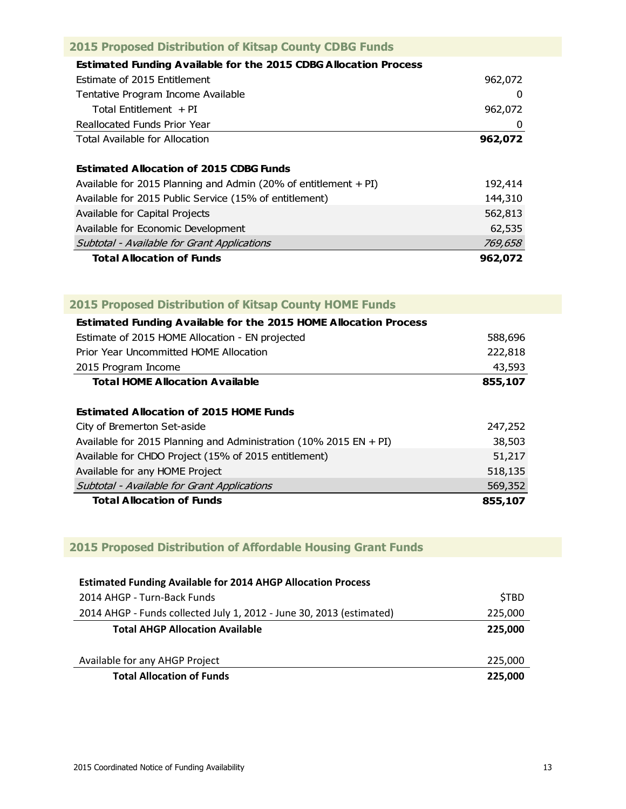| <b>2015 Proposed Distribution of Kitsap County CDBG Funds</b>           |         |
|-------------------------------------------------------------------------|---------|
| <b>Estimated Funding Available for the 2015 CDBG Allocation Process</b> |         |
| Estimate of 2015 Entitlement                                            | 962,072 |
| Tentative Program Income Available                                      | 0       |
| Total Entitlement $+PI$                                                 | 962,072 |
| Reallocated Funds Prior Year                                            | 0       |
| Total Available for Allocation                                          | 962,072 |
| <b>Estimated Allocation of 2015 CDBG Funds</b>                          |         |
| Available for 2015 Planning and Admin (20% of entitlement $+$ PI)       | 192,414 |
| Available for 2015 Public Service (15% of entitlement)                  | 144,310 |
| Available for Capital Projects                                          | 562,813 |
| Available for Economic Development                                      | 62,535  |
| Subtotal - Available for Grant Applications                             | 769,658 |
| <b>Total Allocation of Funds</b>                                        | 962,072 |

|  | 2015 Proposed Distribution of Kitsap County HOME Funds |  |  |
|--|--------------------------------------------------------|--|--|
|  |                                                        |  |  |

| <b>Estimated Funding Available for the 2015 HOME Allocation Process</b> |         |
|-------------------------------------------------------------------------|---------|
| Estimate of 2015 HOME Allocation - EN projected                         | 588,696 |
| Prior Year Uncommitted HOME Allocation                                  | 222,818 |
| 2015 Program Income                                                     | 43,593  |
| <b>Total HOME Allocation Available</b>                                  | 855,107 |
|                                                                         |         |
| <b>Estimated Allocation of 2015 HOME Funds</b>                          |         |
| City of Bremerton Set-aside                                             | 247,252 |
| Available for 2015 Planning and Administration (10% 2015 EN + PI)       | 38,503  |
| Available for CHDO Project (15% of 2015 entitlement)                    | 51,217  |
| Available for any HOME Project                                          | 518,135 |
| Subtotal - Available for Grant Applications                             | 569,352 |
| <b>Total Allocation of Funds</b>                                        | 855,107 |

# **2015 Proposed Distribution of Affordable Housing Grant Funds**

| <b>Estimated Funding Available for 2014 AHGP Allocation Process</b>  |             |
|----------------------------------------------------------------------|-------------|
| 2014 AHGP - Turn-Back Funds                                          | <b>STBD</b> |
| 2014 AHGP - Funds collected July 1, 2012 - June 30, 2013 (estimated) | 225,000     |
| <b>Total AHGP Allocation Available</b>                               | 225.000     |
|                                                                      |             |
| Available for any AHGP Project                                       | 225,000     |
| <b>Total Allocation of Funds</b>                                     | 225.000     |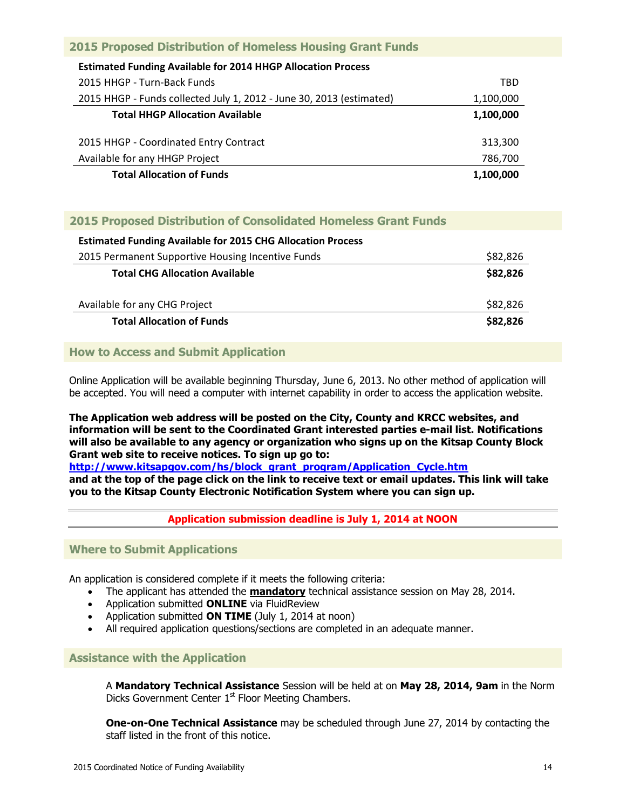| <b>2015 Proposed Distribution of Homeless Housing Grant Funds</b>    |           |
|----------------------------------------------------------------------|-----------|
| <b>Estimated Funding Available for 2014 HHGP Allocation Process</b>  |           |
| 2015 HHGP - Turn-Back Funds                                          | TRD       |
| 2015 HHGP - Funds collected July 1, 2012 - June 30, 2013 (estimated) | 1,100,000 |
| <b>Total HHGP Allocation Available</b>                               | 1,100,000 |
| 2015 HHGP - Coordinated Entry Contract                               | 313,300   |
| Available for any HHGP Project                                       | 786,700   |
| <b>Total Allocation of Funds</b>                                     | 1,100,000 |

# **2015 Proposed Distribution of Consolidated Homeless Grant Funds**

| <b>Estimated Funding Available for 2015 CHG Allocation Process</b> |          |
|--------------------------------------------------------------------|----------|
| 2015 Permanent Supportive Housing Incentive Funds                  | \$82,826 |
| <b>Total CHG Allocation Available</b>                              | \$82,826 |
| Available for any CHG Project                                      | \$82,826 |
| <b>Total Allocation of Funds</b>                                   | \$82,826 |

### **How to Access and Submit Application**

Online Application will be available beginning Thursday, June 6, 2013. No other method of application will be accepted. You will need a computer with internet capability in order to access the application website.

**The Application web address will be posted on the City, County and KRCC websites, and information will be sent to the Coordinated Grant interested parties e-mail list. Notifications will also be available to any agency or organization who signs up on the Kitsap County Block Grant web site to receive notices. To sign up go to:** 

**[http://www.kitsapgov.com/hs/block\\_grant\\_program/Application\\_Cycle.htm](http://www.kitsapgov.com/hs/block_grant_program/Application_Cycle.htm)**

**and at the top of the page click on the link to receive text or email updates. This link will take you to the Kitsap County Electronic Notification System where you can sign up.**

#### **Application submission deadline is July 1, 2014 at NOON**

#### <span id="page-15-0"></span>**Where to Submit Applications**

An application is considered complete if it meets the following criteria:

- The applicant has attended the **mandatory** technical assistance session on May 28, 2014.
- Application submitted **ONLINE** via FluidReview
- Application submitted **ON TIME** (July 1, 2014 at noon)
- All required application questions/sections are completed in an adequate manner.

#### <span id="page-15-1"></span>**Assistance with the Application**

A **Mandatory Technical Assistance** Session will be held at on **May 28, 2014, 9am** in the Norm Dicks Government Center 1<sup>st</sup> Floor Meeting Chambers.

**One-on-One Technical Assistance** may be scheduled through June 27, 2014 by contacting the staff listed in the front of this notice.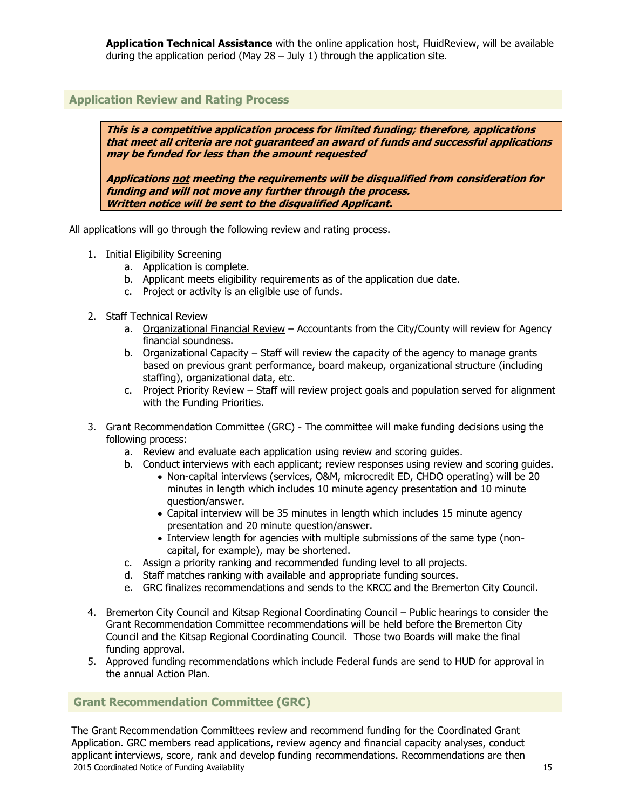**Application Technical Assistance** with the online application host, FluidReview, will be available during the application period (May  $28 -$  July 1) through the application site.

# <span id="page-16-0"></span>**Application Review and Rating Process**

**This is a competitive application process for limited funding; therefore, applications that meet all criteria are not guaranteed an award of funds and successful applications may be funded for less than the amount requested**

**Applications not meeting the requirements will be disqualified from consideration for funding and will not move any further through the process. Written notice will be sent to the disqualified Applicant.**

All applications will go through the following review and rating process.

- 1. Initial Eligibility Screening
	- a. Application is complete.
	- b. Applicant meets eligibility requirements as of the application due date.
	- c. Project or activity is an eligible use of funds.
- 2. Staff Technical Review
	- a. Organizational Financial Review Accountants from the City/County will review for Agency financial soundness.
	- b. Organizational Capacity Staff will review the capacity of the agency to manage grants based on previous grant performance, board makeup, organizational structure (including staffing), organizational data, etc.
	- c. Project Priority Review Staff will review project goals and population served for alignment with the Funding Priorities.
- 3. Grant Recommendation Committee (GRC) The committee will make funding decisions using the following process:
	- a. Review and evaluate each application using review and scoring guides.
	- b. Conduct interviews with each applicant; review responses using review and scoring guides.
		- Non-capital interviews (services, O&M, microcredit ED, CHDO operating) will be 20 minutes in length which includes 10 minute agency presentation and 10 minute question/answer.
		- Capital interview will be 35 minutes in length which includes 15 minute agency presentation and 20 minute question/answer.
		- Interview length for agencies with multiple submissions of the same type (noncapital, for example), may be shortened.
	- c. Assign a priority ranking and recommended funding level to all projects.
	- d. Staff matches ranking with available and appropriate funding sources.
	- e. GRC finalizes recommendations and sends to the KRCC and the Bremerton City Council.
- 4. Bremerton City Council and Kitsap Regional Coordinating Council Public hearings to consider the Grant Recommendation Committee recommendations will be held before the Bremerton City Council and the Kitsap Regional Coordinating Council. Those two Boards will make the final funding approval.
- 5. Approved funding recommendations which include Federal funds are send to HUD for approval in the annual Action Plan.

### **Grant Recommendation Committee (GRC)**

2015 Coordinated Notice of Funding Availability 15 The Grant Recommendation Committees review and recommend funding for the Coordinated Grant Application. GRC members read applications, review agency and financial capacity analyses, conduct applicant interviews, score, rank and develop funding recommendations. Recommendations are then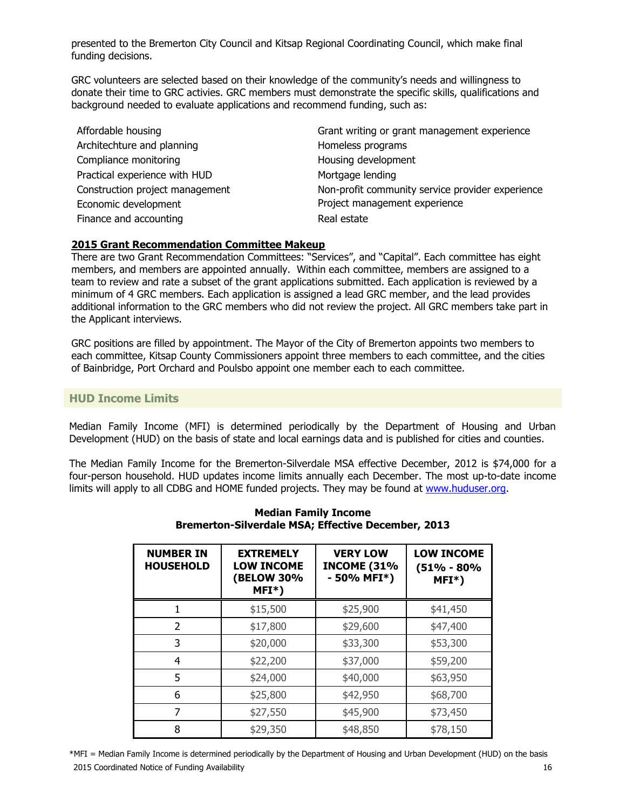presented to the Bremerton City Council and Kitsap Regional Coordinating Council, which make final funding decisions.

GRC volunteers are selected based on their knowledge of the community's needs and willingness to donate their time to GRC activies. GRC members must demonstrate the specific skills, qualifications and background needed to evaluate applications and recommend funding, such as:

Architechture and planning Homeless programs Compliance monitoring example of the Housing development Practical experience with HUD Mortgage lending Economic development experience Finance and accounting **Real estate** Real estate

Affordable housing **Grant writing or grant management experience** Construction project management Non-profit community service provider experience

### **2015 Grant Recommendation Committee Makeup**

There are two Grant Recommendation Committees: "Services", and "Capital". Each committee has eight members, and members are appointed annually. Within each committee, members are assigned to a team to review and rate a subset of the grant applications submitted. Each application is reviewed by a minimum of 4 GRC members. Each application is assigned a lead GRC member, and the lead provides additional information to the GRC members who did not review the project. All GRC members take part in the Applicant interviews.

GRC positions are filled by appointment. The Mayor of the City of Bremerton appoints two members to each committee, Kitsap County Commissioners appoint three members to each committee, and the cities of Bainbridge, Port Orchard and Poulsbo appoint one member each to each committee.

# <span id="page-17-0"></span>**HUD Income Limits**

Median Family Income (MFI) is determined periodically by the Department of Housing and Urban Development (HUD) on the basis of state and local earnings data and is published for cities and counties.

The Median Family Income for the Bremerton-Silverdale MSA effective December, 2012 is \$74,000 for a four-person household. HUD updates income limits annually each December. The most up-to-date income limits will apply to all CDBG and HOME funded projects. They may be found at [www.huduser.org.](http://www.huduser.org/)

| <b>NUMBER IN</b><br><b>HOUSEHOLD</b> | <b>EXTREMELY</b><br><b>LOW INCOME</b><br><b>(BELOW 30%</b><br>$MFI^*)$ | <b>VERY LOW</b><br><b>INCOME (31%</b><br>- 50% MFI*) | <b>LOW INCOME</b><br>(51% - 80%<br>$MFI^*)$ |
|--------------------------------------|------------------------------------------------------------------------|------------------------------------------------------|---------------------------------------------|
|                                      | \$15,500                                                               | \$25,900                                             | \$41,450                                    |
| $\overline{\phantom{a}}$             | \$17,800                                                               | \$29,600                                             | \$47,400                                    |
| 3                                    | \$20,000                                                               | \$33,300                                             | \$53,300                                    |
| 4                                    | \$22,200                                                               | \$37,000                                             | \$59,200                                    |
| 5                                    | \$24,000                                                               | \$40,000                                             | \$63,950                                    |
| 6                                    | \$25,800                                                               | \$42,950                                             | \$68,700                                    |
| 7                                    | \$27,550                                                               | \$45,900                                             | \$73,450                                    |
| 8                                    | \$29,350                                                               | \$48,850                                             | \$78,150                                    |

#### **Median Family Income Bremerton-Silverdale MSA; Effective December, 2013**